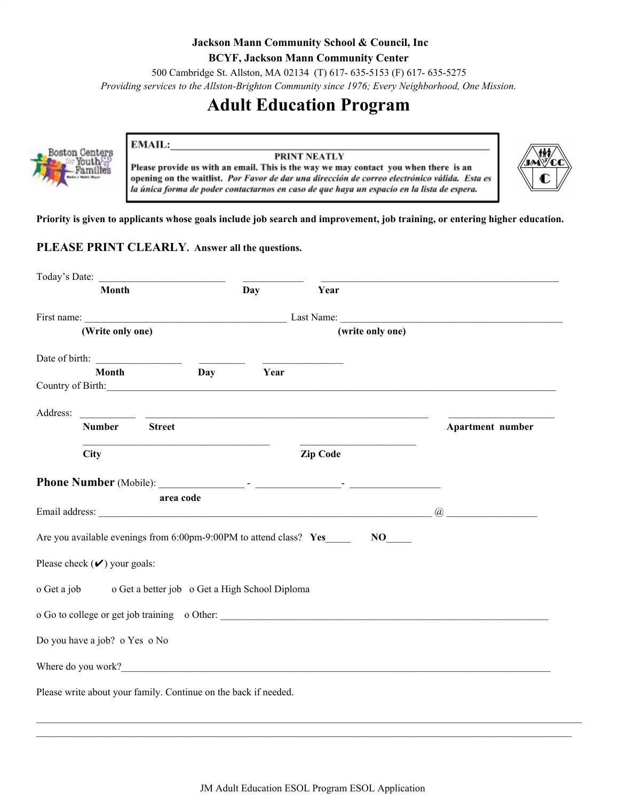#### **Jackson Mann Community School & Council, Inc BCYF, Jackson Mann Community Center** 500 Cambridge St. Allston, MA 02134 (T) 617- 635-5153 (F) 617- 635-5275 *Providing services to the Allston-Brighton Community since 1976; Every Neighborhood, One Mission.*

# **Adult Education Program**



#### **PRINT NEATLY**

Please provide us with an email. This is the way we may contact you when there is an opening on the waitlist. Por Favor de dar una dirección de correo electrónico válida. Esta es la única forma de poder contactarnos en caso de que haya un espacio en la lista de espera.



Priority is given to applicants whose goals include job search and improvement, job training, or entering higher education.

#### **PLEASE PRINT CLEARLY. Answer all the questions.**

EMAIL:

| Today's Date:                                                      |               |      |                 |                      |                  |
|--------------------------------------------------------------------|---------------|------|-----------------|----------------------|------------------|
| Month                                                              |               | Day  | Year            |                      |                  |
|                                                                    |               |      |                 |                      |                  |
| (Write only one)                                                   |               |      |                 | (write only one)     |                  |
| Date of birth:                                                     |               |      |                 |                      |                  |
| Month<br>Country of Birth:                                         | Day           | Year |                 |                      |                  |
| Address:                                                           |               |      |                 |                      |                  |
| <b>Number</b>                                                      | <b>Street</b> |      |                 |                      | Apartment number |
| <b>City</b>                                                        |               |      | <b>Zip Code</b> |                      |                  |
|                                                                    |               |      |                 |                      |                  |
| area code                                                          |               |      |                 |                      |                  |
|                                                                    |               |      |                 |                      | $\mathcal{a}$    |
| Are you available evenings from 6:00pm-9:00PM to attend class? Yes |               |      |                 | $NO$ <sub>____</sub> |                  |
| Please check $(\vee)$ your goals:                                  |               |      |                 |                      |                  |
| o Get a job o Get a better job o Get a High School Diploma         |               |      |                 |                      |                  |
| o Go to college or get job training o Other:                       |               |      |                 |                      |                  |
| Do you have a job? o Yes o No                                      |               |      |                 |                      |                  |
| Where do you work?                                                 |               |      |                 |                      |                  |
| Please write about your family. Continue on the back if needed.    |               |      |                 |                      |                  |

 $\mathcal{L}_\mathcal{L} = \{ \mathcal{L}_\mathcal{L} = \{ \mathcal{L}_\mathcal{L} = \{ \mathcal{L}_\mathcal{L} = \{ \mathcal{L}_\mathcal{L} = \{ \mathcal{L}_\mathcal{L} = \{ \mathcal{L}_\mathcal{L} = \{ \mathcal{L}_\mathcal{L} = \{ \mathcal{L}_\mathcal{L} = \{ \mathcal{L}_\mathcal{L} = \{ \mathcal{L}_\mathcal{L} = \{ \mathcal{L}_\mathcal{L} = \{ \mathcal{L}_\mathcal{L} = \{ \mathcal{L}_\mathcal{L} = \{ \mathcal{L}_\mathcal{$  $\mathcal{L}_\mathcal{L} = \{ \mathcal{L}_\mathcal{L} = \{ \mathcal{L}_\mathcal{L} = \{ \mathcal{L}_\mathcal{L} = \{ \mathcal{L}_\mathcal{L} = \{ \mathcal{L}_\mathcal{L} = \{ \mathcal{L}_\mathcal{L} = \{ \mathcal{L}_\mathcal{L} = \{ \mathcal{L}_\mathcal{L} = \{ \mathcal{L}_\mathcal{L} = \{ \mathcal{L}_\mathcal{L} = \{ \mathcal{L}_\mathcal{L} = \{ \mathcal{L}_\mathcal{L} = \{ \mathcal{L}_\mathcal{L} = \{ \mathcal{L}_\mathcal{$